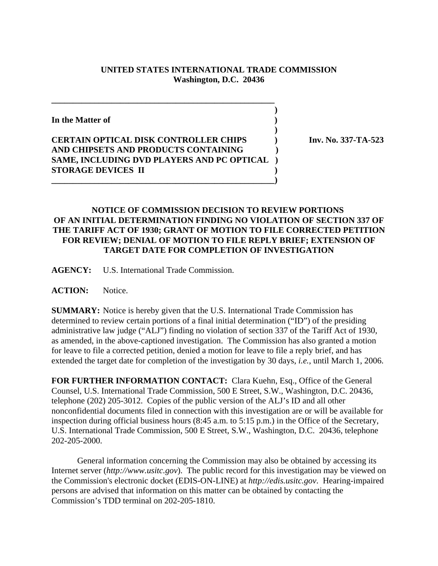## **UNITED STATES INTERNATIONAL TRADE COMMISSION Washington, D.C. 20436**

 **) In the Matter of ) ) CERTAIN OPTICAL DISK CONTROLLER CHIPS ) Inv. No. 337-TA-523 AND CHIPSETS AND PRODUCTS CONTAINING ) SAME, INCLUDING DVD PLAYERS AND PC OPTICAL ) STORAGE DEVICES II ) \_\_\_\_\_\_\_\_\_\_\_\_\_\_\_\_\_\_\_\_\_\_\_\_\_\_\_\_\_\_\_\_\_\_\_\_\_\_\_\_\_\_\_\_\_\_\_\_\_\_\_\_)**

**\_\_\_\_\_\_\_\_\_\_\_\_\_\_\_\_\_\_\_\_\_\_\_\_\_\_\_\_\_\_\_\_\_\_\_\_\_\_\_\_\_\_\_\_\_\_\_\_\_\_\_\_**

## **NOTICE OF COMMISSION DECISION TO REVIEW PORTIONS OF AN INITIAL DETERMINATION FINDING NO VIOLATION OF SECTION 337 OF THE TARIFF ACT OF 1930; GRANT OF MOTION TO FILE CORRECTED PETITION FOR REVIEW; DENIAL OF MOTION TO FILE REPLY BRIEF; EXTENSION OF TARGET DATE FOR COMPLETION OF INVESTIGATION**

**AGENCY:** U.S. International Trade Commission.

**ACTION:** Notice.

**SUMMARY:** Notice is hereby given that the U.S. International Trade Commission has determined to review certain portions of a final initial determination ("ID") of the presiding administrative law judge ("ALJ") finding no violation of section 337 of the Tariff Act of 1930, as amended, in the above-captioned investigation. The Commission has also granted a motion for leave to file a corrected petition, denied a motion for leave to file a reply brief, and has extended the target date for completion of the investigation by 30 days, *i.e.*, until March 1, 2006.

**FOR FURTHER INFORMATION CONTACT:** Clara Kuehn, Esq., Office of the General Counsel, U.S. International Trade Commission, 500 E Street, S.W., Washington, D.C. 20436, telephone (202) 205-3012. Copies of the public version of the ALJ's ID and all other nonconfidential documents filed in connection with this investigation are or will be available for inspection during official business hours (8:45 a.m. to 5:15 p.m.) in the Office of the Secretary, U.S. International Trade Commission, 500 E Street, S.W., Washington, D.C. 20436, telephone 202-205-2000.

General information concerning the Commission may also be obtained by accessing its Internet server (*http://www.usitc.gov*). The public record for this investigation may be viewed on the Commission's electronic docket (EDIS-ON-LINE) at *http://edis.usitc.gov*. Hearing-impaired persons are advised that information on this matter can be obtained by contacting the Commission's TDD terminal on 202-205-1810.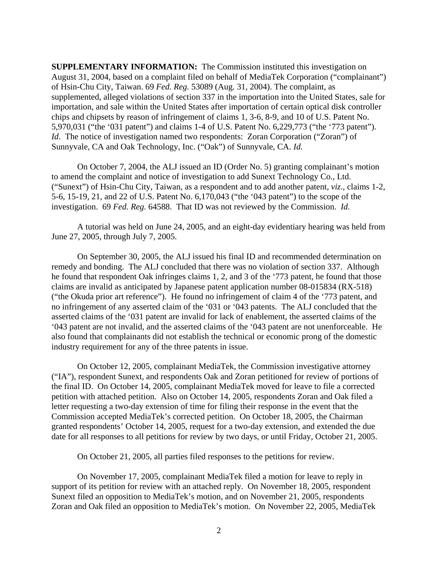**SUPPLEMENTARY INFORMATION:** The Commission instituted this investigation on August 31, 2004, based on a complaint filed on behalf of MediaTek Corporation ("complainant") of Hsin-Chu City, Taiwan. 69 *Fed. Reg.* 53089 (Aug. 31, 2004). The complaint, as supplemented, alleged violations of section 337 in the importation into the United States, sale for importation, and sale within the United States after importation of certain optical disk controller chips and chipsets by reason of infringement of claims 1, 3-6, 8-9, and 10 of U.S. Patent No. 5,970,031 ("the '031 patent") and claims 1-4 of U.S. Patent No. 6,229,773 ("the '773 patent"). *Id.* The notice of investigation named two respondents: Zoran Corporation ("Zoran") of Sunnyvale, CA and Oak Technology, Inc. ("Oak") of Sunnyvale, CA. *Id.*

On October 7, 2004, the ALJ issued an ID (Order No. 5) granting complainant's motion to amend the complaint and notice of investigation to add Sunext Technology Co., Ltd. ("Sunext") of Hsin-Chu City, Taiwan, as a respondent and to add another patent, *viz.*, claims 1-2, 5-6, 15-19, 21, and 22 of U.S. Patent No. 6,170,043 ("the '043 patent") to the scope of the investigation. 69 *Fed. Reg.* 64588. That ID was not reviewed by the Commission. *Id.*

A tutorial was held on June 24, 2005, and an eight-day evidentiary hearing was held from June 27, 2005, through July 7, 2005.

On September 30, 2005, the ALJ issued his final ID and recommended determination on remedy and bonding. The ALJ concluded that there was no violation of section 337. Although he found that respondent Oak infringes claims 1, 2, and 3 of the '773 patent, he found that those claims are invalid as anticipated by Japanese patent application number 08-015834 (RX-518) ("the Okuda prior art reference"). He found no infringement of claim 4 of the '773 patent, and no infringement of any asserted claim of the '031 or '043 patents. The ALJ concluded that the asserted claims of the '031 patent are invalid for lack of enablement, the asserted claims of the '043 patent are not invalid, and the asserted claims of the '043 patent are not unenforceable. He also found that complainants did not establish the technical or economic prong of the domestic industry requirement for any of the three patents in issue.

On October 12, 2005, complainant MediaTek, the Commission investigative attorney ("IA"), respondent Sunext, and respondents Oak and Zoran petitioned for review of portions of the final ID. On October 14, 2005, complainant MediaTek moved for leave to file a corrected petition with attached petition. Also on October 14, 2005, respondents Zoran and Oak filed a letter requesting a two-day extension of time for filing their response in the event that the Commission accepted MediaTek's corrected petition. On October 18, 2005, the Chairman granted respondents' October 14, 2005, request for a two-day extension, and extended the due date for all responses to all petitions for review by two days, or until Friday, October 21, 2005.

On October 21, 2005, all parties filed responses to the petitions for review.

On November 17, 2005, complainant MediaTek filed a motion for leave to reply in support of its petition for review with an attached reply. On November 18, 2005, respondent Sunext filed an opposition to MediaTek's motion, and on November 21, 2005, respondents Zoran and Oak filed an opposition to MediaTek's motion. On November 22, 2005, MediaTek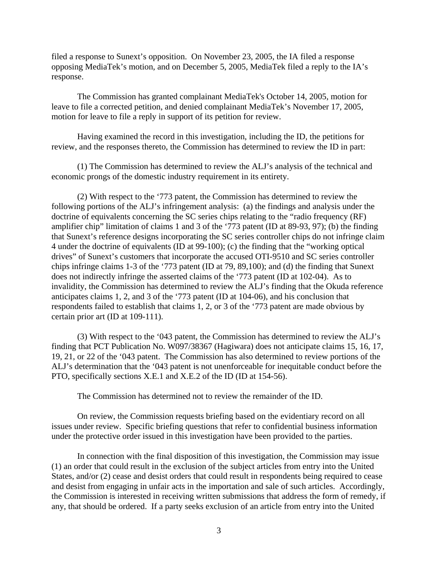filed a response to Sunext's opposition. On November 23, 2005, the IA filed a response opposing MediaTek's motion, and on December 5, 2005, MediaTek filed a reply to the IA's response.

The Commission has granted complainant MediaTek's October 14, 2005, motion for leave to file a corrected petition, and denied complainant MediaTek's November 17, 2005, motion for leave to file a reply in support of its petition for review.

Having examined the record in this investigation, including the ID, the petitions for review, and the responses thereto, the Commission has determined to review the ID in part:

(1) The Commission has determined to review the ALJ's analysis of the technical and economic prongs of the domestic industry requirement in its entirety.

(2) With respect to the '773 patent, the Commission has determined to review the following portions of the ALJ's infringement analysis: (a) the findings and analysis under the doctrine of equivalents concerning the SC series chips relating to the "radio frequency (RF) amplifier chip" limitation of claims 1 and 3 of the '773 patent (ID at 89-93, 97); (b) the finding that Sunext's reference designs incorporating the SC series controller chips do not infringe claim 4 under the doctrine of equivalents (ID at 99-100); (c) the finding that the "working optical drives" of Sunext's customers that incorporate the accused OTI-9510 and SC series controller chips infringe claims 1-3 of the '773 patent (ID at 79, 89,100); and (d) the finding that Sunext does not indirectly infringe the asserted claims of the '773 patent (ID at 102-04). As to invalidity, the Commission has determined to review the ALJ's finding that the Okuda reference anticipates claims 1, 2, and 3 of the '773 patent (ID at 104-06), and his conclusion that respondents failed to establish that claims 1, 2, or 3 of the '773 patent are made obvious by certain prior art (ID at 109-111).

(3) With respect to the '043 patent, the Commission has determined to review the ALJ's finding that PCT Publication No. W097/38367 (Hagiwara) does not anticipate claims 15, 16, 17, 19, 21, or 22 of the '043 patent. The Commission has also determined to review portions of the ALJ's determination that the '043 patent is not unenforceable for inequitable conduct before the PTO, specifically sections X.E.1 and X.E.2 of the ID (ID at 154-56).

The Commission has determined not to review the remainder of the ID.

On review, the Commission requests briefing based on the evidentiary record on all issues under review. Specific briefing questions that refer to confidential business information under the protective order issued in this investigation have been provided to the parties.

In connection with the final disposition of this investigation, the Commission may issue (1) an order that could result in the exclusion of the subject articles from entry into the United States, and/or (2) cease and desist orders that could result in respondents being required to cease and desist from engaging in unfair acts in the importation and sale of such articles. Accordingly, the Commission is interested in receiving written submissions that address the form of remedy, if any, that should be ordered. If a party seeks exclusion of an article from entry into the United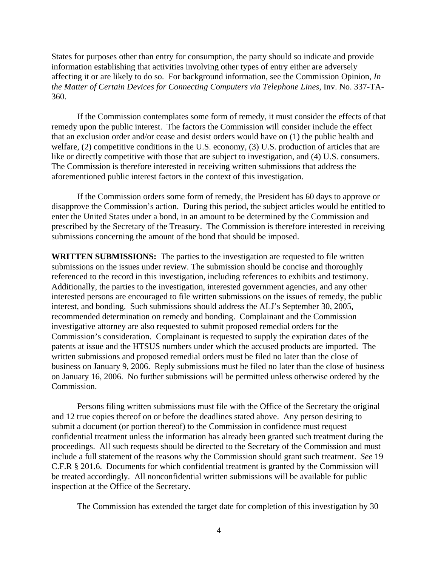States for purposes other than entry for consumption, the party should so indicate and provide information establishing that activities involving other types of entry either are adversely affecting it or are likely to do so. For background information, see the Commission Opinion, *In the Matter of Certain Devices for Connecting Computers via Telephone Lines*, Inv. No. 337-TA-360.

If the Commission contemplates some form of remedy, it must consider the effects of that remedy upon the public interest. The factors the Commission will consider include the effect that an exclusion order and/or cease and desist orders would have on (1) the public health and welfare, (2) competitive conditions in the U.S. economy, (3) U.S. production of articles that are like or directly competitive with those that are subject to investigation, and (4) U.S. consumers. The Commission is therefore interested in receiving written submissions that address the aforementioned public interest factors in the context of this investigation.

If the Commission orders some form of remedy, the President has 60 days to approve or disapprove the Commission's action. During this period, the subject articles would be entitled to enter the United States under a bond, in an amount to be determined by the Commission and prescribed by the Secretary of the Treasury. The Commission is therefore interested in receiving submissions concerning the amount of the bond that should be imposed.

**WRITTEN SUBMISSIONS:** The parties to the investigation are requested to file written submissions on the issues under review. The submission should be concise and thoroughly referenced to the record in this investigation, including references to exhibits and testimony. Additionally, the parties to the investigation, interested government agencies, and any other interested persons are encouraged to file written submissions on the issues of remedy, the public interest, and bonding. Such submissions should address the ALJ's September 30, 2005, recommended determination on remedy and bonding. Complainant and the Commission investigative attorney are also requested to submit proposed remedial orders for the Commission's consideration. Complainant is requested to supply the expiration dates of the patents at issue and the HTSUS numbers under which the accused products are imported. The written submissions and proposed remedial orders must be filed no later than the close of business on January 9, 2006. Reply submissions must be filed no later than the close of business on January 16, 2006. No further submissions will be permitted unless otherwise ordered by the Commission.

Persons filing written submissions must file with the Office of the Secretary the original and 12 true copies thereof on or before the deadlines stated above. Any person desiring to submit a document (or portion thereof) to the Commission in confidence must request confidential treatment unless the information has already been granted such treatment during the proceedings. All such requests should be directed to the Secretary of the Commission and must include a full statement of the reasons why the Commission should grant such treatment. *See* 19 C.F.R § 201.6. Documents for which confidential treatment is granted by the Commission will be treated accordingly. All nonconfidential written submissions will be available for public inspection at the Office of the Secretary.

The Commission has extended the target date for completion of this investigation by 30